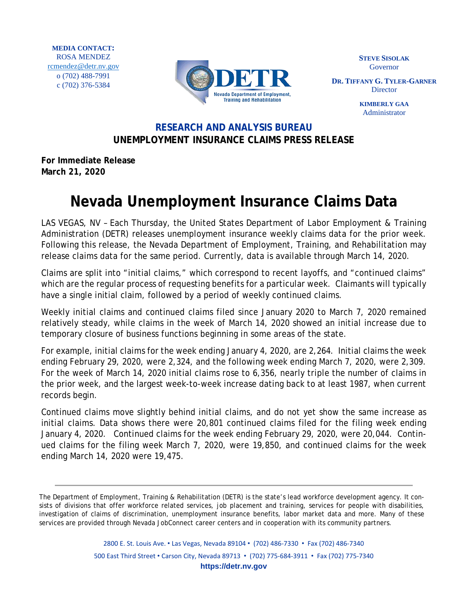

**STEVE SISOLAK** Governor

**DR. TIFFANY G. TYLER-GARNER Director** 

> **KIMBERLY GAA** Administrator

## **RESEARCH AND ANALYSIS BUREAU UNEMPLOYMENT INSURANCE CLAIMS PRESS RELEASE**

**For Immediate Release March 21, 2020**

## **Nevada Unemployment Insurance Claims Data**

LAS VEGAS, NV – Each Thursday, the United States Department of Labor Employment & Training Administration (DETR) releases unemployment insurance weekly claims data for the prior week. Following this release, the Nevada Department of Employment, Training, and Rehabilitation may release claims data for the same period. Currently, data is available through March 14, 2020.

Claims are split into "initial claims," which correspond to recent layoffs, and "continued claims" which are the regular process of requesting benefits for a particular week. Claimants will typically have a single initial claim, followed by a period of weekly continued claims.

Weekly initial claims and continued claims filed since January 2020 to March 7, 2020 remained relatively steady, while claims in the week of March 14, 2020 showed an initial increase due to temporary closure of business functions beginning in some areas of the state.

For example, initial claims for the week ending January 4, 2020, are 2,264. Initial claims the week ending February 29, 2020, were 2,324, and the following week ending March 7, 2020, were 2,309. For the week of March 14, 2020 initial claims rose to 6,356, nearly triple the number of claims in the prior week, and the largest week-to-week increase dating back to at least 1987, when current records begin.

Continued claims move slightly behind initial claims, and do not yet show the same increase as initial claims. Data shows there were 20,801 continued claims filed for the filing week ending January 4, 2020. Continued claims for the week ending February 29, 2020, were 20,044. Continued claims for the filing week March 7, 2020, were 19,850, and continued claims for the week ending March 14, 2020 were 19,475.

2800 E. St. Louis Ave. • Las Vegas, Nevada 89104 • (702) 486-7330 • Fax (702) 486-7340 500 East Third Street • Carson City, Nevada 89713 • (702) 775-684-3911 • Fax (702) 775-7340 **https://detr.nv.gov**

The Department of Employment, Training & Rehabilitation (DETR) is the state's lead workforce development agency. It consists of divisions that offer workforce related services, job placement and training, services for people with disabilities, investigation of claims of discrimination, unemployment insurance benefits, labor market data and more. Many of these services are provided through Nevada JobConnect career centers and in cooperation with its community partners.